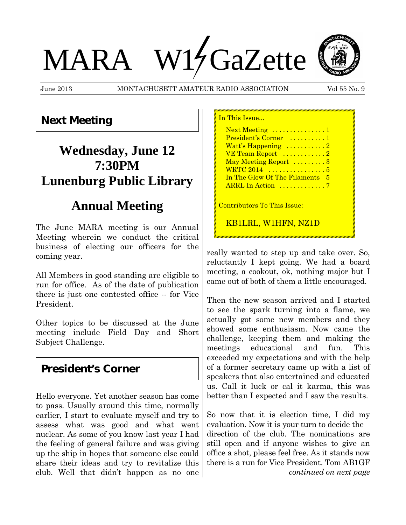# MARA W17GaZette

June 2013 MONTACHUSETT AMATEUR RADIO ASSOCIATION Vol 55 No. 9

### **Next Meeting**

# **Wednesday, June 12 7:30PM Lunenburg Public Library**

# **Annual Meeting**

The June MARA meeting is our Annual Meeting wherein we conduct the critical business of electing our officers for the coming year.

All Members in good standing are eligible to run for office. As of the date of publication there is just one contested office -- for Vice President.

Other topics to be discussed at the June meeting include Field Day and Short Subject Challenge.

## **President's Corner**

Hello everyone. Yet another season has come to pass. Usually around this time, normally earlier, I start to evaluate myself and try to assess what was good and what went nuclear. As some of you know last year I had the feeling of general failure and was giving up the ship in hopes that someone else could share their ideas and try to revitalize this club. Well that didn't happen as no one

| In This Issue                          |
|----------------------------------------|
| Next Meeting 1                         |
| President's Corner  1                  |
| Watt's Happening $\dots \dots \dots 2$ |
|                                        |
| May Meeting Report 3                   |
|                                        |
| In The Glow Of The Filaments 5         |
|                                        |
|                                        |
| Contributors To This Issue:            |
| KB1LRL, W1HFN, NZ1D                    |

really wanted to step up and take over. So, reluctantly I kept going. We had a board meeting, a cookout, ok, nothing major but I came out of both of them a little encouraged.

Then the new season arrived and I started to see the spark turning into a flame, we actually got some new members and they showed some enthusiasm. Now came the challenge, keeping them and making the meetings educational and fun. This exceeded my expectations and with the help of a former secretary came up with a list of speakers that also entertained and educated us. Call it luck or cal it karma, this was better than I expected and I saw the results.

So now that it is election time, I did my evaluation. Now it is your turn to decide the direction of the club. The nominations are still open and if anyone wishes to give an office a shot, please feel free. As it stands now there is a run for Vice President. Tom AB1GF *continued on next page*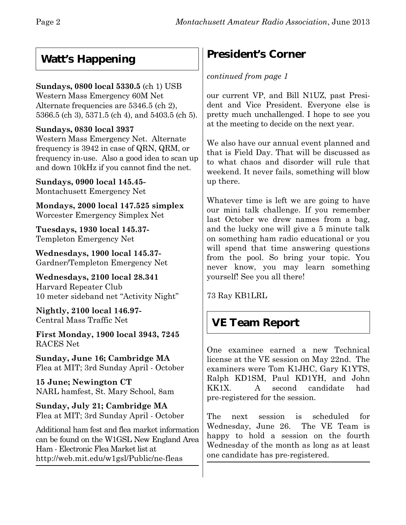## **Watt's Happening**

#### **Sundays, 0800 local 5330.5** (ch 1) USB

Western Mass Emergency 60M Net Alternate frequencies are 5346.5 (ch 2), 5366.5 (ch 3), 5371.5 (ch 4), and 5403.5 (ch 5).

#### **Sundays, 0830 local 3937**

Western Mass Emergency Net. Alternate frequency is 3942 in case of QRN, QRM, or frequency in-use. Also a good idea to scan up and down 10kHz if you cannot find the net.

**Sundays, 0900 local 145.45-** Montachusett Emergency Net

**Mondays, 2000 local 147.525 simplex** Worcester Emergency Simplex Net

**Tuesdays, 1930 local 145.37-** Templeton Emergency Net

**Wednesdays, 1900 local 145.37-** Gardner/Templeton Emergency Net

**Wednesdays, 2100 local 28.341** Harvard Repeater Club 10 meter sideband net "Activity Night"

**Nightly, 2100 local 146.97-** Central Mass Traffic Net

**First Monday, 1900 local 3943, 7245** RACES Net

**Sunday, June 16; Cambridge MA** Flea at MIT; 3rd Sunday April - October

**15 June; Newington CT** NARL hamfest, St. Mary School, 8am

**Sunday, July 21; Cambridge MA** Flea at MIT; 3rd Sunday April - October

Additional ham fest and flea market information can be found on the W1GSL New England Area Ham - Electronic Flea Market list at http://web.mit.edu/w1gsl/Public/ne-fleas

# **President's Corner**

#### *continued from page 1*

our current VP, and Bill N1UZ, past President and Vice President. Everyone else is pretty much unchallenged. I hope to see you at the meeting to decide on the next year.

We also have our annual event planned and that is Field Day. That will be discussed as to what chaos and disorder will rule that weekend. It never fails, something will blow up there.

Whatever time is left we are going to have our mini talk challenge. If you remember last October we drew names from a bag, and the lucky one will give a 5 minute talk on something ham radio educational or you will spend that time answering questions from the pool. So bring your topic. You never know, you may learn something yourself! See you all there!

73 Ray KB1LRL

## **VE Team Report**

One examinee earned a new Technical license at the VE session on May 22nd. The examiners were Tom K1JHC, Gary K1YTS, Ralph KD1SM, Paul KD1YH, and John KK1X. A second candidate had pre-registered for the session.

The next session is scheduled for Wednesday, June 26.The VE Team is happy to hold a session on the fourth Wednesday of the month as long as at least one candidate has pre-registered.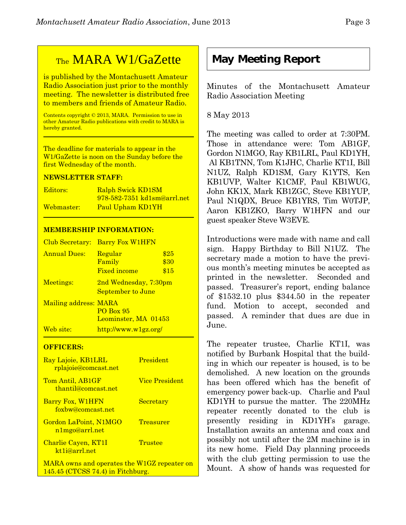## TheMARA W1/GaZette

is published by the Montachusett Amateur Radio Association just prior to the monthly meeting. The newsletter is distributed free to members and friends of Amateur Radio.

Contents copyright © 2013, MARA. Permission to use in other Amateur Radio publications with credit to MARA is hereby granted.

The deadline for materials to appear in the W1/GaZette is noon on the Sunday before the first Wednesday of the month.

#### **NEWSLETTER STAFF:**

| Editors:   | <b>Ralph Swick KD1SM</b>           |
|------------|------------------------------------|
|            | <u>978-582-7351 kd1sm@arrl.net</u> |
| Webmaster: | Paul Upham KD1YH                   |

#### **MEMBERSHIP INFORMATION:**

| Club Secretary:       | <b>Barry Fox W1HFN</b>                              |                      |
|-----------------------|-----------------------------------------------------|----------------------|
| <b>Annual Dues:</b>   | Regular<br>Family<br><b>Fixed income</b>            | \$25<br>\$30<br>\$15 |
| Meetings:             | 2nd Wednesday, 7:30pm<br>September to June          |                      |
| Mailing address: MARA | <b>PO Box 95</b><br>Leominster, MA 01453            |                      |
| Web site:             | $\frac{http://www.w1gz.org/}{http://www.w1gz.org/}$ |                      |

#### **OFFICERS:**

| Ray Lajoie, KB1LRL<br><u>rplajoie@comcast.net</u> | <b>President</b>      |
|---------------------------------------------------|-----------------------|
| Tom Antil, AB1GF<br>thantil@comcast.net           | <b>Vice President</b> |
| Barry Fox, W1HFN<br>foxbw@comcast.net             | Secretary             |
| Gordon LaPoint, N1MGO<br>n1mgo@arrl.net           | Treasurer             |
| Charlie Cayen, KT1I<br>kt <sub>1</sub> i@arrl.net | Trustee               |
| MARA owns and operates the W1GZ repeater on       |                       |

145.45 (CTCSS 74.4) in Fitchburg.

### **May Meeting Report**

Minutes of the Montachusett Amateur Radio Association Meeting

8 May 2013

The meeting was called to order at 7:30PM. Those in attendance were: Tom AB1GF, Gordon N1MGO, Ray KB1LRL, Paul KD1YH, Al KB1TNN, Tom K1JHC, Charlie KT1I, Bill N1UZ, Ralph KD1SM, Gary K1YTS, Ken KB1UVP, Walter K1CMF, Paul KB1WUG, John KK1X, Mark KB1ZGC, Steve KB1YUP, Paul N1QDX, Bruce KB1YRS, Tim W0TJP, Aaron KB1ZKO, Barry W1HFN and our guest speaker Steve W3EVE.

Introductions were made with name and call sign. Happy Birthday to Bill N1UZ. The secretary made a motion to have the previous month's meeting minutes be accepted as printed in the newsletter. Seconded and passed. Treasurer's report, ending balance of \$1532.10 plus \$344.50 in the repeater fund. Motion to accept, seconded and passed. A reminder that dues are due in June.

The repeater trustee, Charlie KT1I, was notified by Burbank Hospital that the building in which our repeater is housed, is to be demolished. A new location on the grounds has been offered which has the benefit of emergency power back-up. Charlie and Paul KD1YH to pursue the matter. The 220MHz repeater recently donated to the club is presently residing in KD1YH's garage. Installation awaits an antenna and coax and possibly not until after the 2M machine is in its new home. Field Day planning proceeds with the club getting permission to use the Mount. A show of hands was requested for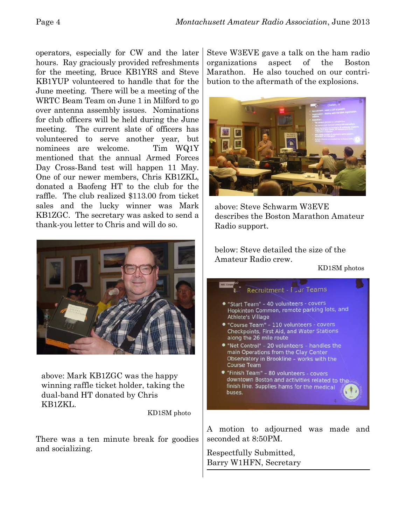operators, especially for CW and the later hours. Ray graciously provided refreshments for the meeting, Bruce KB1YRS and Steve KB1YUP volunteered to handle that for the June meeting. There will be a meeting of the WRTC Beam Team on June 1 in Milford to go over antenna assembly issues. Nominations for club officers will be held during the June meeting. The current slate of officers has volunteered to serve another year, but nominees are welcome. Tim WQ1Y mentioned that the annual Armed Forces Day Cross-Band test will happen 11 May. One of our newer members, Chris KB1ZKL, donated a Baofeng HT to the club for the raffle. The club realized \$113.00 from ticket sales and the lucky winner was Mark KB1ZGC. The secretary was asked to send a thank-you letter to Chris and will do so.



above: Mark KB1ZGC was the happy winning raffle ticket holder, taking the dual-band HT donated by Chris KB1ZKL.

KD1SM photo

There was a ten minute break for goodies and socializing.

Steve W3EVE gave a talk on the ham radio organizations aspect of the Boston Marathon. He also touched on our contribution to the aftermath of the explosions.



above: Steve Schwarm W3EVE describes the Boston Marathon Amateur Radio support.

below: Steve detailed the size of the Amateur Radio crew.

KD1SM photos



A motion to adjourned was made and seconded at 8:50PM.

Respectfully Submitted, Barry W1HFN, Secretary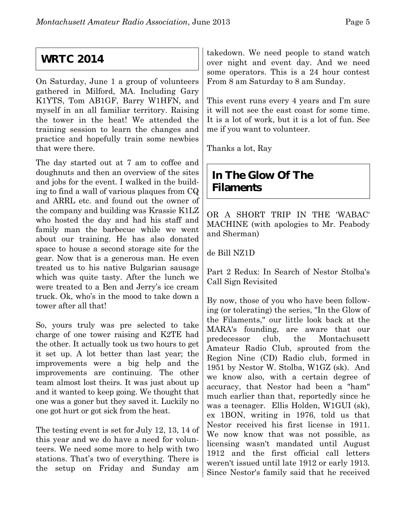## **WRTC 2014**

On Saturday, June 1 a group of volunteers gathered in Milford, MA. Including Gary K1YTS, Tom AB1GF, Barry W1HFN, and myself in an all familiar territory. Raising the tower in the heat! We attended the training session to learn the changes and practice and hopefully train some newbies that were there.

The day started out at 7 am to coffee and doughnuts and then an overview of the sites and jobs for the event. I walked in the building to find a wall of various plaques from CQ and ARRL etc. and found out the owner of the company and building was Krassie K1LZ who hosted the day and had his staff and family man the barbecue while we went about our training. He has also donated space to house a second storage site for the gear. Now that is a generous man. He even treated us to his native Bulgarian sausage which was quite tasty. After the lunch we were treated to a Ben and Jerry's ice cream truck. Ok, who's in the mood to take down a tower after all that!

So, yours truly was pre selected to take charge of one tower raising and K2TE had the other. It actually took us two hours to get it set up. A lot better than last year; the improvements were a big help and the improvements are continuing. The other team almost lost theirs. It was just about up and it wanted to keep going. We thought that one was a goner but they saved it. Luckily no one got hurt or got sick from the heat.

The testing event is set for July 12, 13, 14 of this year and we do have a need for volunteers. We need some more to help with two stations. That's two of everything. There is the setup on Friday and Sunday am

takedown. We need people to stand watch over night and event day. And we need some operators. This is a 24 hour contest From 8 am Saturday to 8 am Sunday.

This event runs every 4 years and I'm sure it will not see the east coast for some time. It is a lot of work, but it is a lot of fun. See me if you want to volunteer.

Thanks a lot, Ray

## **In The Glow Of The Filaments**

OR A SHORT TRIP IN THE 'WABAC' MACHINE (with apologies to Mr. Peabody and Sherman)

de Bill NZ1D

Part 2 Redux: In Search of Nestor Stolba's Call Sign Revisited

By now, those of you who have been following (or tolerating) the series, "In the Glow of the Filaments," our little look back at the MARA's founding, are aware that our predecessor club, the Montachusett Amateur Radio Club, sprouted from the Region Nine (CD) Radio club, formed in 1951 by Nestor W. Stolba, W1GZ (sk). And we know also, with a certain degree of accuracy, that Nestor had been a "ham" much earlier than that, reportedly since he was a teenager. Ellis Holden, W1GUI (sk), ex 1BON, writing in 1976, told us that Nestor received his first license in 1911. We now know that was not possible, as licensing wasn't mandated until August 1912 and the first official call letters weren't issued until late 1912 or early 1913. Since Nestor's family said that he received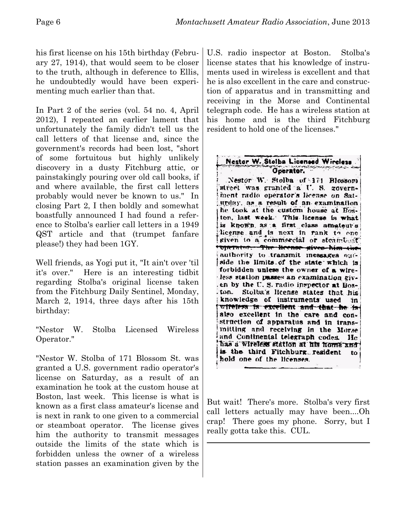his first license on his 15th birthday (February 27, 1914), that would seem to be closer to the truth, although in deference to Ellis, he undoubtedly would have been experimenting much earlier than that.

In Part 2 of the series (vol. 54 no. 4, April 2012), I repeated an earlier lament that unfortunately the family didn't tell us the call letters of that license and, since the government's records had been lost, "short of some fortuitous but highly unlikely discovery in a dusty Fitchburg attic, or painstakingly pouring over old call books, if and where available, the first call letters probably would never be known to us." In closing Part 2, I then boldly and somewhat boastfully announced I had found a reference to Stolba's earlier call letters in a 1949 QST article and that (trumpet fanfare please!) they had been 1GY.

Well friends, as Yogi put it, "It ain't over 'til it's over." Here is an interesting tidbit regarding Stolba's original license taken from the Fitchburg Daily Sentinel, Monday, March 2, 1914, three days after his 15th birthday:

"Nestor W. Stolba Licensed Wireless Operator."

"Nestor W. Stolba of 171 Blossom St. was granted a U.S. government radio operator's license on Saturday, as a result of an examination he took at the custom house at Boston, last week. This license is what is known as a first class amateur's license and is next in rank to one given to a commercial or steamboat operator. The license gives him the authority to transmit messages outside the limits of the state which is forbidden unless the owner of a wireless station passes an examination given by the

U.S. radio inspector at Boston. Stolba's license states that his knowledge of instruments used in wireless is excellent and that he is also excellent in the care and construction of apparatus and in transmitting and receiving in the Morse and Continental telegraph code. He has a wireless station at his home and is the third Fitchburg resident to hold one of the licenses."

Nestor W. Stolba Licenced Wireless Operator. Nestor W. Stolba of 171 Blossom street was granted a U. S. government radio operator's license on Saturday, as a result of an examination he took at the custom house at Boston, last week. This license is what is known as a first class amateur's license and is next in rank to one given to a commercial or steamboat. Operator. The Heense gives him the authority to transmit messages outside the limits of the state which is forbidden unless the owner of a wireless station passes an examination given by the U.S. radio inspector at Boston. Stolba's license states that his knowledge of instruments used in witeless is excellent and that he is also excellent in the care and construction of apparatus and in transmitting and receiving in the Morse and Continental telegraph codes. He has a wireless station at his home and is the third Fitchburg resident to hold one of the licenses.

But wait! There's more. Stolba's very first call letters actually may have been....Oh crap! There goes my phone. Sorry, but I really gotta take this. CUL.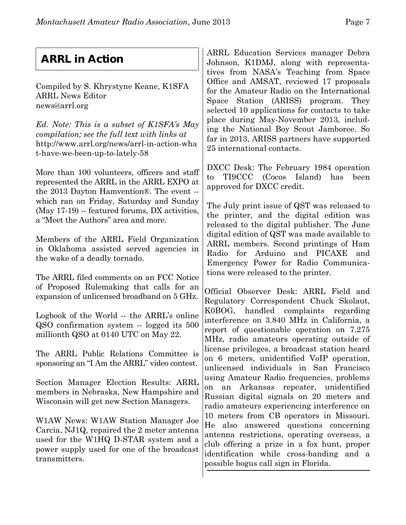# **ARRL in Action**

Compiled by S. Khrystyne Keane, K1SFA ARRL News Editor news@arrl.org

*Ed. Note: This is a subset of K1SFA's May compilation; see the full text with links at* http://www.arrl.org/news/arrl-in-action-wha t-have-we-been-up-to-lately-58

More than 100 volunteers, officers and staff represented the ARRL in the ARRL EXPO at the 2013 Dayton Hamvention®. The event - which ran on Friday, Saturday and Sunday (May 17-19) -- featured forums, DX activities, a "Meet the Authors" area and more.

Members of the ARRL Field Organization in Oklahoma assisted served agencies in the wake of a deadly tornado.

The ARRL filed comments on an FCC Notice of Proposed Rulemaking that calls for an expansion of unlicensed broadband on 5 GHz.

Logbook of the World -- the ARRL's online QSO confirmation system -- logged its 500 millionth QSO at 0140 UTC on May 22.

The ARRL Public Relations Committee is sponsoring an "I Am the ARRL" video contest.

Section Manager Election Results: ARRL members in Nebraska, New Hampshire and Wisconsin will get new Section Managers.

W1AW News: W1AW Station Manager Joe Carcia, NJ1Q, repaired the 2 meter antenna used for the W1HQ D-STAR system and a power supply used for one of the broadcast transmitters.

ARRL Education Services manager Debra Johnson, K1DMJ, along with representatives from NASA's Teaching from Space Office and AMSAT, reviewed 17 proposals for the Amateur Radio on the International Space Station (ARISS) program. They selected 10 applications for contacts to take place during May-November 2013, including the National Boy Scout Jamboree. So far in 2013, ARISS partners have supported 25 international contacts.

DXCC Desk: The February 1984 operation to TI9CCC (Cocos Island) has been approved for DXCC credit.

The July print issue of QST was released to the printer, and the digital edition was released to the digital publisher. The June digital edition of QST was made available to ARRL members. Second printings of Ham Radio for Arduino and PICAXE and Emergency Power for Radio Communications were released to the printer.

Official Observer Desk: ARRL Field and Regulatory Correspondent Chuck Skolaut, K0BOG, handled complaints regarding interference on 3.840 MHz in California, a report of questionable operation on 7.275 MHz, radio amateurs operating outside of license privileges, a broadcast station heard on 6 meters, unidentified VoIP operation, unlicensed individuals in San Francisco using Amateur Radio frequencies, problems on an Arkansas repeater, unidentified Russian digital signals on 20 meters and radio amateurs experiencing interference on 10 meters from CB operators in Missouri. He also answered questions concerning antenna restrictions, operating overseas, a club offering a prize in a fox hunt, proper identification while cross-banding and a possible bogus call sign in Florida.